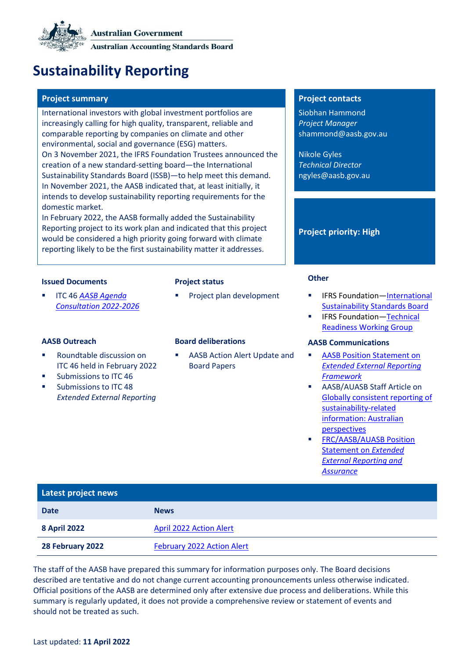# **Sustainability Reporting**

## **Project summary Project contacts**

International investors with global investment portfolios are increasingly calling for high quality, transparent, reliable and comparable reporting by companies on climate and other environmental, social and governance (ESG) matters. On 3 November 2021, the IFRS Foundation Trustees announced the creation of a new standard-setting board—the International Sustainability Standards Board (ISSB)—to help meet this demand. In November 2021, the AASB indicated that, at least initially, it intends to develop sustainability reporting requirements for the domestic market.

In February 2022, the AASB formally added the Sustainability Reporting project to its work plan and indicated that this project would be considered a high priority going forward with climate reporting likely to be the first sustainability matter it addresses.

## **Issued Documents Project status Other**

**ITC 46 AASB Agenda** *[Consultation 2022-2026](https://www.aasb.gov.au/admin/file/content105/c9/ITC46_10-21.pdf)*

- Roundtable discussion on ITC 46 held in February 2022
- Submissions to ITC 46
- Submissions to ITC 48 *Extended External Reporting*

AASB Action Alert Update and [Board Papers](#page-1-0)

Siobhan Hammond *Project Manager* shammond@aasb.gov.au

Nikole Gyles *Technical Director* ngyles@aasb.gov.au

### **Project priority: High**

- Project plan development **■** IFRS Foundation—International [Sustainability Standards Board](https://www.ifrs.org/groups/international-sustainability-standards-board/)
	- IFRS Foundation—Technical [Readiness Working Group](https://www.ifrs.org/groups/technical-readiness-working-group/)

### **AASB Outreach Board deliberations AASB Communications**

- **AASB Position Statement on** *[Extended External Reporting](https://www.aasb.gov.au/media/vplbo3kx/positionstatement_eer_framework_03-22.pdf)  [Framework](https://www.aasb.gov.au/media/vplbo3kx/positionstatement_eer_framework_03-22.pdf)*
- AASB/AUASB Staff Article on [Globally consistent reporting of](https://www.aasb.gov.au/media/o1wfhori/aasb-auasb_sustainabilityreporting_12-21.pdf)  [sustainability-related](https://www.aasb.gov.au/media/o1wfhori/aasb-auasb_sustainabilityreporting_12-21.pdf)  [information: Australian](https://www.aasb.gov.au/media/o1wfhori/aasb-auasb_sustainabilityreporting_12-21.pdf)  [perspectives](https://www.aasb.gov.au/media/o1wfhori/aasb-auasb_sustainabilityreporting_12-21.pdf)
- **[FRC/AASB/AUASB](https://www.aasb.gov.au/media/a3yn1thj/jointaasb_auasb_frc_policypositionstatement-11-21.pdf) Position** [Statement on](https://www.aasb.gov.au/media/a3yn1thj/jointaasb_auasb_frc_policypositionstatement-11-21.pdf) *Extended [External Reporting and](https://www.aasb.gov.au/media/a3yn1thj/jointaasb_auasb_frc_policypositionstatement-11-21.pdf)  [Assurance](https://www.aasb.gov.au/media/a3yn1thj/jointaasb_auasb_frc_policypositionstatement-11-21.pdf)*

| Latest project news |                                   |
|---------------------|-----------------------------------|
| <b>Date</b>         | <b>News</b>                       |
| <b>8 April 2022</b> | <b>April 2022 Action Alert</b>    |
| 28 February 2022    | <b>February 2022 Action Alert</b> |

The staff of the AASB have prepared this summary for information purposes only. The Board decisions described are tentative and do not change current accounting pronouncements unless otherwise indicated. Official positions of the AASB are determined only after extensive due process and deliberations. While this summary is regularly updated, it does not provide a comprehensive review or statement of events and should not be treated as such.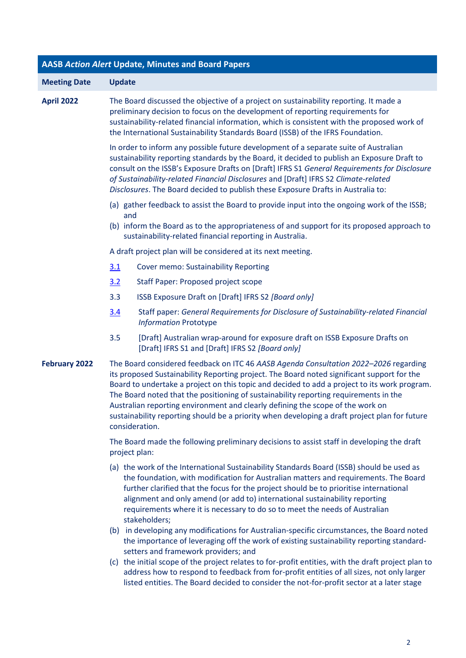<span id="page-1-0"></span>

| <b>AASB Action Alert Update, Minutes and Board Papers</b> |                                                                                                                                                                                                                                                                                                                                                                                                                                                                                                                                                                                 |  |  |
|-----------------------------------------------------------|---------------------------------------------------------------------------------------------------------------------------------------------------------------------------------------------------------------------------------------------------------------------------------------------------------------------------------------------------------------------------------------------------------------------------------------------------------------------------------------------------------------------------------------------------------------------------------|--|--|
| <b>Meeting Date</b>                                       | <b>Update</b>                                                                                                                                                                                                                                                                                                                                                                                                                                                                                                                                                                   |  |  |
| <b>April 2022</b>                                         | The Board discussed the objective of a project on sustainability reporting. It made a<br>preliminary decision to focus on the development of reporting requirements for<br>sustainability-related financial information, which is consistent with the proposed work of<br>the International Sustainability Standards Board (ISSB) of the IFRS Foundation.                                                                                                                                                                                                                       |  |  |
|                                                           | In order to inform any possible future development of a separate suite of Australian<br>sustainability reporting standards by the Board, it decided to publish an Exposure Draft to<br>consult on the ISSB's Exposure Drafts on [Draft] IFRS S1 General Requirements for Disclosure<br>of Sustainability-related Financial Disclosures and [Draft] IFRS S2 Climate-related<br>Disclosures. The Board decided to publish these Exposure Drafts in Australia to:                                                                                                                  |  |  |
|                                                           | (a) gather feedback to assist the Board to provide input into the ongoing work of the ISSB;                                                                                                                                                                                                                                                                                                                                                                                                                                                                                     |  |  |
|                                                           | and<br>(b) inform the Board as to the appropriateness of and support for its proposed approach to<br>sustainability-related financial reporting in Australia.                                                                                                                                                                                                                                                                                                                                                                                                                   |  |  |
|                                                           | A draft project plan will be considered at its next meeting.                                                                                                                                                                                                                                                                                                                                                                                                                                                                                                                    |  |  |
|                                                           | <b>Cover memo: Sustainability Reporting</b><br>3.1                                                                                                                                                                                                                                                                                                                                                                                                                                                                                                                              |  |  |
|                                                           | 3.2<br>Staff Paper: Proposed project scope                                                                                                                                                                                                                                                                                                                                                                                                                                                                                                                                      |  |  |
|                                                           | 3.3<br>ISSB Exposure Draft on [Draft] IFRS S2 [Board only]                                                                                                                                                                                                                                                                                                                                                                                                                                                                                                                      |  |  |
|                                                           | Staff paper: General Requirements for Disclosure of Sustainability-related Financial<br>3.4<br><b>Information Prototype</b>                                                                                                                                                                                                                                                                                                                                                                                                                                                     |  |  |
|                                                           | 3.5<br>[Draft] Australian wrap-around for exposure draft on ISSB Exposure Drafts on<br>[Draft] IFRS S1 and [Draft] IFRS S2 [Board only]                                                                                                                                                                                                                                                                                                                                                                                                                                         |  |  |
| <b>February 2022</b>                                      | The Board considered feedback on ITC 46 AASB Agenda Consultation 2022-2026 regarding<br>its proposed Sustainability Reporting project. The Board noted significant support for the<br>Board to undertake a project on this topic and decided to add a project to its work program.<br>The Board noted that the positioning of sustainability reporting requirements in the<br>Australian reporting environment and clearly defining the scope of the work on<br>sustainability reporting should be a priority when developing a draft project plan for future<br>consideration. |  |  |
|                                                           | The Board made the following preliminary decisions to assist staff in developing the draft<br>project plan:                                                                                                                                                                                                                                                                                                                                                                                                                                                                     |  |  |
|                                                           | (a) the work of the International Sustainability Standards Board (ISSB) should be used as<br>the foundation, with modification for Australian matters and requirements. The Board<br>further clarified that the focus for the project should be to prioritise international<br>alignment and only amend (or add to) international sustainability reporting<br>requirements where it is necessary to do so to meet the needs of Australian<br>stakeholders;                                                                                                                      |  |  |
|                                                           | (b) in developing any modifications for Australian-specific circumstances, the Board noted<br>the importance of leveraging off the work of existing sustainability reporting standard-<br>setters and framework providers; and                                                                                                                                                                                                                                                                                                                                                  |  |  |
|                                                           | (c) the initial scope of the project relates to for-profit entities, with the draft project plan to<br>address how to respond to feedback from for-profit entities of all sizes, not only larger<br>listed entities. The Board decided to consider the not-for-profit sector at a later stage                                                                                                                                                                                                                                                                                   |  |  |